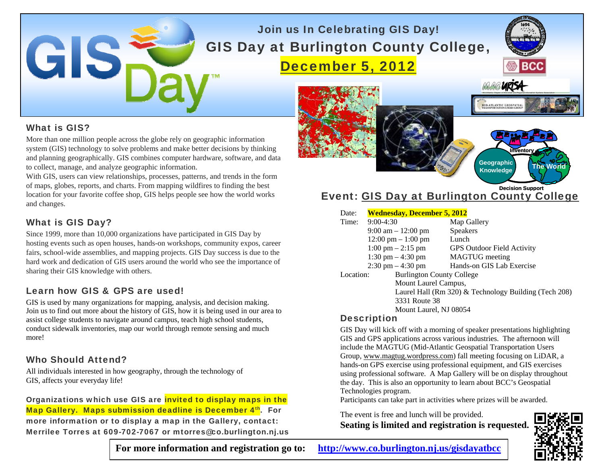## Join us In Celebrating GIS Day! GIS Day at Burlington County College, December 5, 2012



### What is GIS?

 $\blacktriangle$ 

More than one million people across the globe rely on geographic information system (GIS) technology to solve problems and make better decisions by thinking and planning geographically. GIS combines computer hardware, software, and data to collect, manage, and analyze geographic information.

With GIS, users can view relationships, processes, patterns, and trends in the form of maps, globes, reports, and charts. From mapping wildfires to finding the best location for your favorite coffee shop, GIS helps people see how the world works and changes.

### What is GIS Day?

Since 1999, more than 10,000 organizations have participated in GIS Day by hosting events such as open houses, hands-on workshops, community expos, career fairs, school-wide assemblies, and mapping projects. GIS Day success is due to the hard work and dedication of GIS users around the world who see the importance of sharing their GIS knowledge with others.

### Learn how GIS & GPS are used!

GIS is used by many organizations for mapping, analysis, and decision making. Join us to find out more about the history of GIS, how it is being used in our area to assist college students to navigate around campus, teach high school students, conduct sidewalk inventories, map our world through remote sensing and much more!

### Who Should Attend?

All individuals interested in how geography, through the technology of GIS, affects your everyday life!

Organizations which use GIS are **invited to display maps in the** Map Gallery. Maps submission deadline is December 4th. For more information or to display a map in the Gallery, contact: Merrilee Torres at 609-702-7067 or mtorres@co.burlington.nj.us

URIS **ID-ATLANTIC GEOSPATIA Inventory Geographic Knowledge The World**

#### Event: GIS Day at Burlington County College **Decision Support**

| Date:     | <b>Wednesday, December 5, 2012</b>   |                                                       |  |
|-----------|--------------------------------------|-------------------------------------------------------|--|
| Time:     | $9:00-4:30$                          | Map Gallery                                           |  |
|           | $9:00 \text{ am} - 12:00 \text{ pm}$ | <b>Speakers</b>                                       |  |
|           | $12:00 \text{ pm} - 1:00 \text{ pm}$ | Lunch                                                 |  |
|           | $1:00 \text{ pm} - 2:15 \text{ pm}$  | <b>GPS Outdoor Field Activity</b>                     |  |
|           | 1:30 pm $-$ 4:30 pm                  | <b>MAGTUG</b> meeting                                 |  |
|           | $2:30 \text{ pm} - 4:30 \text{ pm}$  | Hands-on GIS Lab Exercise                             |  |
| Location: |                                      | <b>Burlington County College</b>                      |  |
|           | Mount Laurel Campus,                 |                                                       |  |
|           |                                      | Laurel Hall (Rm 320) & Technology Building (Tech 208) |  |
|           | 3331 Route 38                        |                                                       |  |
|           | Mount Laurel, NJ 08054               |                                                       |  |

### **Description**

GIS Day will kick off with a morning of speaker presentations highlighting GIS and GPS applications across various industries. The afternoon will include the MAGTUG (Mid-Atlantic Geospatial Transportation Users Group, www.magtug.wordpress.com) fall meeting focusing on LiDAR, a hands-on GPS exercise using professional equipment, and GIS exercises using professional software. A Map Gallery will be on display throughout the day. This is also an opportunity to learn about BCC's Geospatial Technologies program.

Participants can take part in activities where prizes will be awarded.

The event is free and lunch will be provided. **Seating is limited and registration is requested.** 



**For more information and registration go to: <http://www.co.burlington.nj.us/gisdayatbcc>**